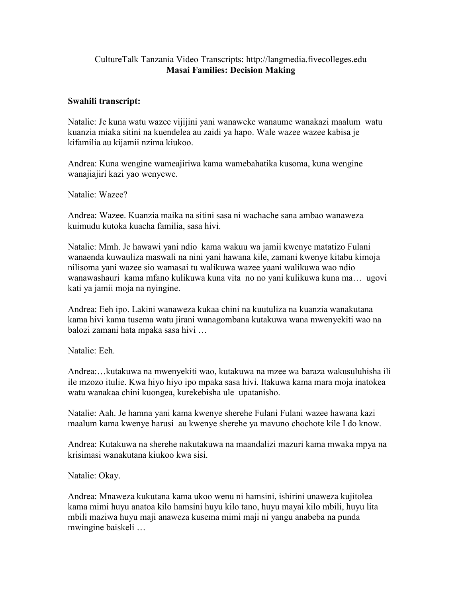## CultureTalk Tanzania Video Transcripts: http://langmedia.fivecolleges.edu Masai Families: Decision Making

## Swahili transcript:

Natalie: Je kuna watu wazee vijijini yani wanaweke wanaume wanakazi maalum watu kuanzia miaka sitini na kuendelea au zaidi ya hapo. Wale wazee wazee kabisa je kifamilia au kijamii nzima kiukoo.

Andrea: Kuna wengine wameajiriwa kama wamebahatika kusoma, kuna wengine wanajiajiri kazi yao wenyewe.

Natalie: Wazee?

Andrea: Wazee. Kuanzia maika na sitini sasa ni wachache sana ambao wanaweza kuimudu kutoka kuacha familia, sasa hivi.

Natalie: Mmh. Je hawawi yani ndio kama wakuu wa jamii kwenye matatizo Fulani wanaenda kuwauliza maswali na nini yani hawana kile, zamani kwenye kitabu kimoja nilisoma yani wazee sio wamasai tu walikuwa wazee yaani walikuwa wao ndio wanawashauri kama mfano kulikuwa kuna vita no no yani kulikuwa kuna ma… ugovi kati ya jamii moja na nyingine.

Andrea: Eeh ipo. Lakini wanaweza kukaa chini na kuutuliza na kuanzia wanakutana kama hivi kama tusema watu jirani wanagombana kutakuwa wana mwenyekiti wao na balozi zamani hata mpaka sasa hivi …

Natalie: Eeh.

Andrea:…kutakuwa na mwenyekiti wao, kutakuwa na mzee wa baraza wakusuluhisha ili ile mzozo itulie. Kwa hiyo hiyo ipo mpaka sasa hivi. Itakuwa kama mara moja inatokea watu wanakaa chini kuongea, kurekebisha ule upatanisho.

Natalie: Aah. Je hamna yani kama kwenye sherehe Fulani Fulani wazee hawana kazi maalum kama kwenye harusi au kwenye sherehe ya mavuno chochote kile I do know.

Andrea: Kutakuwa na sherehe nakutakuwa na maandalizi mazuri kama mwaka mpya na krisimasi wanakutana kiukoo kwa sisi.

Natalie: Okay.

Andrea: Mnaweza kukutana kama ukoo wenu ni hamsini, ishirini unaweza kujitolea kama mimi huyu anatoa kilo hamsini huyu kilo tano, huyu mayai kilo mbili, huyu lita mbili maziwa huyu maji anaweza kusema mimi maji ni yangu anabeba na punda mwingine baiskeli …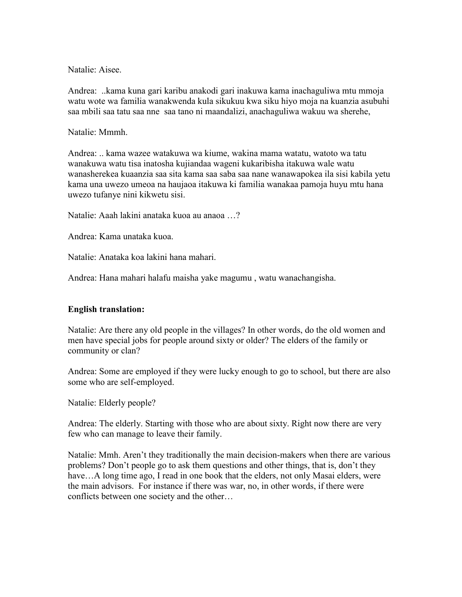Natalie: Aisee.

Andrea: ..kama kuna gari karibu anakodi gari inakuwa kama inachaguliwa mtu mmoja watu wote wa familia wanakwenda kula sikukuu kwa siku hiyo moja na kuanzia asubuhi saa mbili saa tatu saa nne saa tano ni maandalizi, anachaguliwa wakuu wa sherehe,

Natalie: Mmmh.

Andrea: .. kama wazee watakuwa wa kiume, wakina mama watatu, watoto wa tatu wanakuwa watu tisa inatosha kujiandaa wageni kukaribisha itakuwa wale watu wanasherekea kuaanzia saa sita kama saa saba saa nane wanawapokea ila sisi kabila yetu kama una uwezo umeoa na haujaoa itakuwa ki familia wanakaa pamoja huyu mtu hana uwezo tufanye nini kikwetu sisi.

Natalie: Aaah lakini anataka kuoa au anaoa …?

Andrea: Kama unataka kuoa.

Natalie: Anataka koa lakini hana mahari.

Andrea: Hana mahari halafu maisha yake magumu , watu wanachangisha.

## English translation:

Natalie: Are there any old people in the villages? In other words, do the old women and men have special jobs for people around sixty or older? The elders of the family or community or clan?

Andrea: Some are employed if they were lucky enough to go to school, but there are also some who are self-employed.

Natalie: Elderly people?

Andrea: The elderly. Starting with those who are about sixty. Right now there are very few who can manage to leave their family.

Natalie: Mmh. Aren't they traditionally the main decision-makers when there are various problems? Don't people go to ask them questions and other things, that is, don't they have...A long time ago, I read in one book that the elders, not only Masai elders, were the main advisors. For instance if there was war, no, in other words, if there were conflicts between one society and the other…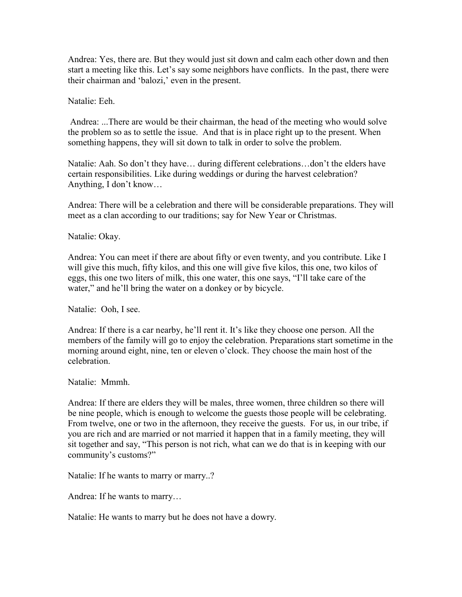Andrea: Yes, there are. But they would just sit down and calm each other down and then start a meeting like this. Let's say some neighbors have conflicts. In the past, there were their chairman and 'balozi,' even in the present.

Natalie: Eeh.

 Andrea: ...There are would be their chairman, the head of the meeting who would solve the problem so as to settle the issue. And that is in place right up to the present. When something happens, they will sit down to talk in order to solve the problem.

Natalie: Aah. So don't they have… during different celebrations…don't the elders have certain responsibilities. Like during weddings or during the harvest celebration? Anything, I don't know…

Andrea: There will be a celebration and there will be considerable preparations. They will meet as a clan according to our traditions; say for New Year or Christmas.

Natalie: Okay.

Andrea: You can meet if there are about fifty or even twenty, and you contribute. Like I will give this much, fifty kilos, and this one will give five kilos, this one, two kilos of eggs, this one two liters of milk, this one water, this one says, "I'll take care of the water," and he'll bring the water on a donkey or by bicycle.

Natalie: Ooh, I see.

Andrea: If there is a car nearby, he'll rent it. It's like they choose one person. All the members of the family will go to enjoy the celebration. Preparations start sometime in the morning around eight, nine, ten or eleven o'clock. They choose the main host of the celebration.

Natalie: Mmmh.

Andrea: If there are elders they will be males, three women, three children so there will be nine people, which is enough to welcome the guests those people will be celebrating. From twelve, one or two in the afternoon, they receive the guests. For us, in our tribe, if you are rich and are married or not married it happen that in a family meeting, they will sit together and say, "This person is not rich, what can we do that is in keeping with our community's customs?"

Natalie: If he wants to marry or marry..?

Andrea: If he wants to marry…

Natalie: He wants to marry but he does not have a dowry.